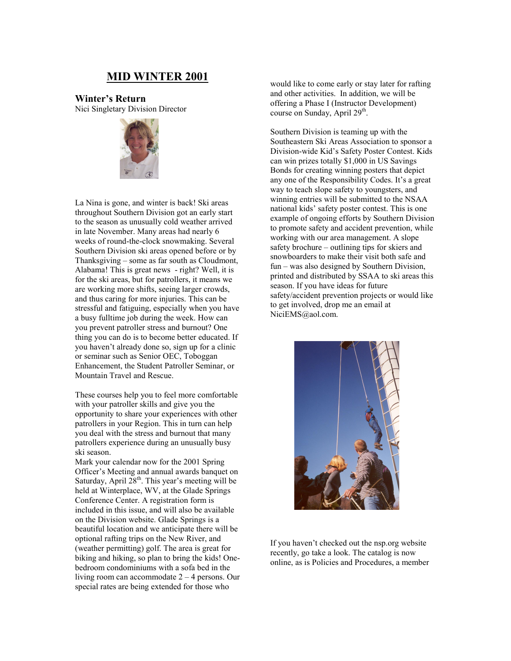# **MID WINTER 2001**

**Winter's Return** Nici Singletary Division Director



La Nina is gone, and winter is back! Ski areas throughout Southern Division got an early start to the season as unusually cold weather arrived in late November. Many areas had nearly 6 weeks of round-the-clock snowmaking. Several Southern Division ski areas opened before or by Thanksgiving – some as far south as Cloudmont, Alabama! This is great news - right? Well, it is for the ski areas, but for patrollers, it means we are working more shifts, seeing larger crowds, and thus caring for more injuries. This can be stressful and fatiguing, especially when you have a busy fulltime job during the week. How can you prevent patroller stress and burnout? One thing you can do is to become better educated. If you haven't already done so, sign up for a clinic or seminar such as Senior OEC, Toboggan Enhancement, the Student Patroller Seminar, or Mountain Travel and Rescue.

These courses help you to feel more comfortable with your patroller skills and give you the opportunity to share your experiences with other patrollers in your Region. This in turn can help you deal with the stress and burnout that many patrollers experience during an unusually busy ski season.

Mark your calendar now for the 2001 Spring Officer's Meeting and annual awards banquet on Saturday, April 28<sup>th</sup>. This year's meeting will be held at Winterplace, WV, at the Glade Springs Conference Center. A registration form is included in this issue, and will also be available on the Division website. Glade Springs is a beautiful location and we anticipate there will be optional rafting trips on the New River, and (weather permitting) golf. The area is great for biking and hiking, so plan to bring the kids! Onebedroom condominiums with a sofa bed in the living room can accommodate 2 – 4 persons. Our special rates are being extended for those who

would like to come early or stay later for rafting and other activities. In addition, we will be offering a Phase I (Instructor Development) course on Sunday, April  $29<sup>th</sup>$ .

Southern Division is teaming up with the Southeastern Ski Areas Association to sponsor a Division-wide Kid's Safety Poster Contest. Kids can win prizes totally \$1,000 in US Savings Bonds for creating winning posters that depict any one of the Responsibility Codes. It's a great way to teach slope safety to youngsters, and winning entries will be submitted to the NSAA national kids' safety poster contest. This is one example of ongoing efforts by Southern Division to promote safety and accident prevention, while working with our area management. A slope safety brochure – outlining tips for skiers and snowboarders to make their visit both safe and fun – was also designed by Southern Division, printed and distributed by SSAA to ski areas this season. If you have ideas for future safety/accident prevention projects or would like to get involved, drop me an email at NiciEMS@aol.com.



If you haven't checked out the nsp.org website recently, go take a look. The catalog is now online, as is Policies and Procedures, a member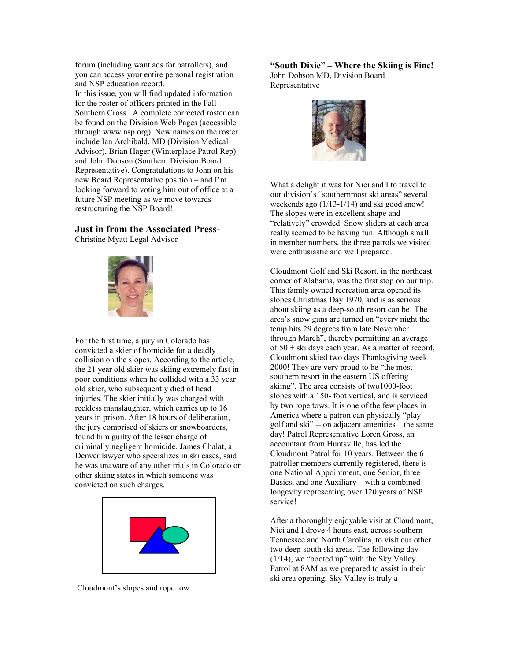forum (including want ads for patrollers), and you can access your entire personal registration and NSP education record.

In this issue, you will find updated information for the roster of officers printed in the Fall Southern Cross. A complete corrected roster can be found on the Division Web Pages (accessible through www.nsp.org). New names on the roster include Ian Archibald, MD (Division Medical Advisor), Brian Hager (Winterplace Patrol Rep) and John Dobson (Southern Division Board Representative). Congratulations to John on his new Board Representative position – and I'm looking forward to voting him out of office at a future NSP meeting as we move towards restructuring the NSP Board!

#### **Just in from the Associated Press-**

Christine Myatt Legal Advisor



For the first time, a jury in Colorado has convicted a skier of homicide for a deadly collision on the slopes. According to the article, the 21 year old skier was skiing extremely fast in poor conditions when he collided with a 33 year old skier, who subsequently died of head injuries. The skier initially was charged with reckless manslaughter, which carries up to 16 years in prison. After 18 hours of deliberation, the jury comprised of skiers or snowboarders, found him guilty of the lesser charge of criminally negligent homicide. James Chalat, a Denver lawyer who specializes in ski cases, said he was unaware of any other trials in Colorado or other skiing states in which someone was convicted on such charges.



Cloudmont's slopes and rope tow.

**"South Dixie" – Where the Skiing is Fine!** John Dobson MD, Division Board Representative



What a delight it was for Nici and I to travel to our division's "southernmost ski areas" several weekends ago (1/13-1/14) and ski good snow! The slopes were in excellent shape and "relatively" crowded. Snow sliders at each area really seemed to be having fun. Although small in member numbers, the three patrols we visited were enthusiastic and well prepared.

Cloudmont Golf and Ski Resort, in the northeast corner of Alabama, was the first stop on our trip. This family owned recreation area opened its slopes Christmas Day 1970, and is as serious about skiing as a deep-south resort can be! The area's snow guns are turned on "every night the temp hits 29 degrees from late November through March", thereby permitting an average of 50 + ski days each year. As a matter of record, Cloudmont skied two days Thanksgiving week 2000! They are very proud to be "the most southern resort in the eastern US offering skiing". The area consists of two1000-foot slopes with a 150- foot vertical, and is serviced by two rope tows. It is one of the few places in America where a patron can physically "play golf and ski" -- on adjacent amenities – the same day! Patrol Representative Loren Gross, an accountant from Huntsville, has led the Cloudmont Patrol for 10 years. Between the 6 patroller members currently registered, there is one National Appointment, one Senior, three Basics, and one Auxiliary – with a combined longevity representing over 120 years of NSP service!

After a thoroughly enjoyable visit at Cloudmont, Nici and I drove 4 hours east, across southern Tennessee and North Carolina, to visit our other two deep-south ski areas. The following day (1/14), we "booted up" with the Sky Valley Patrol at 8AM as we prepared to assist in their ski area opening. Sky Valley is truly a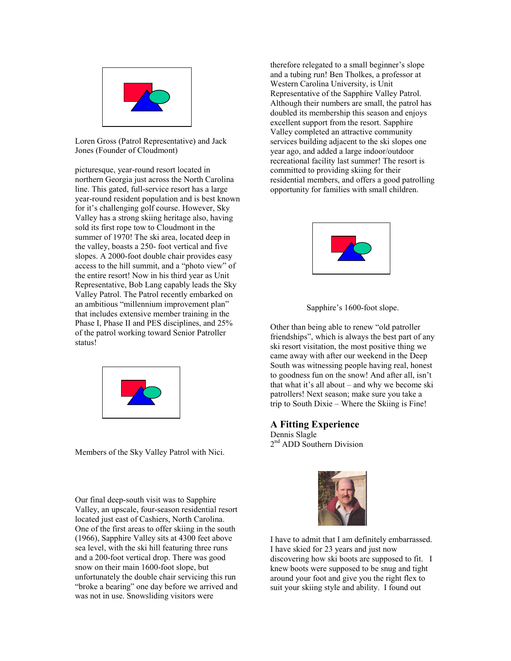

Loren Gross (Patrol Representative) and Jack Jones (Founder of Cloudmont)

picturesque, year-round resort located in northern Georgia just across the North Carolina line. This gated, full-service resort has a large year-round resident population and is best known for it's challenging golf course. However, Sky Valley has a strong skiing heritage also, having sold its first rope tow to Cloudmont in the summer of 1970! The ski area, located deep in the valley, boasts a 250- foot vertical and five slopes. A 2000-foot double chair provides easy access to the hill summit, and a "photo view" of the entire resort! Now in his third year as Unit Representative, Bob Lang capably leads the Sky Valley Patrol. The Patrol recently embarked on an ambitious "millennium improvement plan" that includes extensive member training in the Phase I, Phase II and PES disciplines, and 25% of the patrol working toward Senior Patroller status!



Members of the Sky Valley Patrol with Nici.

Our final deep-south visit was to Sapphire Valley, an upscale, four-season residential resort located just east of Cashiers, North Carolina. One of the first areas to offer skiing in the south (1966), Sapphire Valley sits at 4300 feet above sea level, with the ski hill featuring three runs and a 200-foot vertical drop. There was good snow on their main 1600-foot slope, but unfortunately the double chair servicing this run "broke a bearing" one day before we arrived and was not in use. Snowsliding visitors were

therefore relegated to a small beginner's slope and a tubing run! Ben Tholkes, a professor at Western Carolina University, is Unit Representative of the Sapphire Valley Patrol. Although their numbers are small, the patrol has doubled its membership this season and enjoys excellent support from the resort. Sapphire Valley completed an attractive community services building adjacent to the ski slopes one year ago, and added a large indoor/outdoor recreational facility last summer! The resort is committed to providing skiing for their residential members, and offers a good patrolling opportunity for families with small children.





Other than being able to renew "old patroller friendships", which is always the best part of any ski resort visitation, the most positive thing we came away with after our weekend in the Deep South was witnessing people having real, honest to goodness fun on the snow! And after all, isn't that what it's all about – and why we become ski patrollers! Next season; make sure you take a trip to South Dixie – Where the Skiing is Fine!

### **A Fitting Experience**

Dennis Slagle 2<sup>nd</sup> ADD Southern Division



I have to admit that I am definitely embarrassed. I have skied for 23 years and just now discovering how ski boots are supposed to fit. I knew boots were supposed to be snug and tight around your foot and give you the right flex to suit your skiing style and ability. I found out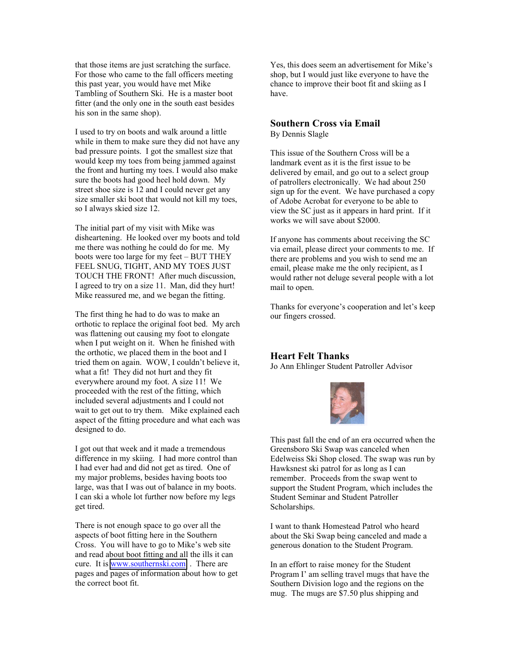that those items are just scratching the surface. For those who came to the fall officers meeting this past year, you would have met Mike Tambling of Southern Ski. He is a master boot fitter (and the only one in the south east besides his son in the same shop).

I used to try on boots and walk around a little while in them to make sure they did not have any bad pressure points. I got the smallest size that would keep my toes from being jammed against the front and hurting my toes. I would also make sure the boots had good heel hold down. My street shoe size is 12 and I could never get any size smaller ski boot that would not kill my toes, so I always skied size 12.

The initial part of my visit with Mike was disheartening. He looked over my boots and told me there was nothing he could do for me. My boots were too large for my feet – BUT THEY FEEL SNUG, TIGHT, AND MY TOES JUST TOUCH THE FRONT! After much discussion, I agreed to try on a size 11. Man, did they hurt! Mike reassured me, and we began the fitting.

The first thing he had to do was to make an orthotic to replace the original foot bed. My arch was flattening out causing my foot to elongate when I put weight on it. When he finished with the orthotic, we placed them in the boot and I tried them on again. WOW, I couldn't believe it, what a fit! They did not hurt and they fit everywhere around my foot. A size 11! We proceeded with the rest of the fitting, which included several adjustments and I could not wait to get out to try them. Mike explained each aspect of the fitting procedure and what each was designed to do.

I got out that week and it made a tremendous difference in my skiing. I had more control than I had ever had and did not get as tired. One of my major problems, besides having boots too large, was that I was out of balance in my boots. I can ski a whole lot further now before my legs get tired.

There is not enough space to go over all the aspects of boot fitting here in the Southern Cross. You will have to go to Mike's web site and read about boot fitting and all the ills it can cure. It is [www.southernski.com](http://www.southenrski.com/) . There are pages and pages of information about how to get the correct boot fit.

Yes, this does seem an advertisement for Mike's shop, but I would just like everyone to have the chance to improve their boot fit and skiing as I have.

#### **Southern Cross via Email** By Dennis Slagle

This issue of the Southern Cross will be a landmark event as it is the first issue to be delivered by email, and go out to a select group of patrollers electronically. We had about 250 sign up for the event. We have purchased a copy of Adobe Acrobat for everyone to be able to view the SC just as it appears in hard print. If it works we will save about \$2000.

If anyone has comments about receiving the SC via email, please direct your comments to me. If there are problems and you wish to send me an email, please make me the only recipient, as I would rather not deluge several people with a lot mail to open.

Thanks for everyone's cooperation and let's keep our fingers crossed.

### **Heart Felt Thanks**

Jo Ann Ehlinger Student Patroller Advisor



This past fall the end of an era occurred when the Greensboro Ski Swap was canceled when Edelweiss Ski Shop closed. The swap was run by Hawksnest ski patrol for as long as I can remember. Proceeds from the swap went to support the Student Program, which includes the Student Seminar and Student Patroller Scholarships.

I want to thank Homestead Patrol who heard about the Ski Swap being canceled and made a generous donation to the Student Program.

In an effort to raise money for the Student Program I' am selling travel mugs that have the Southern Division logo and the regions on the mug. The mugs are \$7.50 plus shipping and